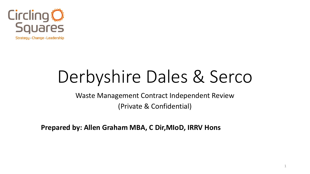

# Derbyshire Dales & Serco

Waste Management Contract Independent Review (Private & Confidential)

**Prepared by: Allen Graham MBA, C Dir,MIoD, IRRV Hons**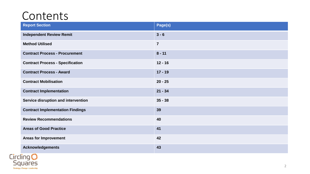#### Contents

| <b>Report Section</b>                   | Page(s)        |
|-----------------------------------------|----------------|
| <b>Independent Review Remit</b>         | $3 - 6$        |
| <b>Method Utilised</b>                  | $\overline{7}$ |
| <b>Contract Process - Procurement</b>   | $8 - 11$       |
| <b>Contract Process - Specification</b> | $12 - 16$      |
| <b>Contract Process - Award</b>         | $17 - 19$      |
| <b>Contract Mobilisation</b>            | $20 - 25$      |
| <b>Contract Implementation</b>          | $21 - 34$      |
| Service disruption and intervention     | $35 - 38$      |
| <b>Contract Implementation Findings</b> | 39             |
| <b>Review Recommendations</b>           | 40             |
| <b>Areas of Good Practice</b>           | 41             |
| <b>Areas for Improvement</b>            | 42             |
| <b>Acknowledgements</b>                 | 43             |

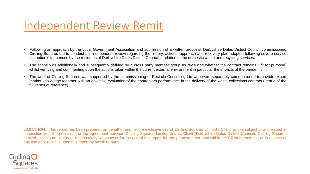#### Independent Review Remit

- Following an approach by the Local Government Association and submission of a written proposal, Derbyshire Dales District Council commissioned Circling Squares Ltd to conduct an independent review regarding the history, actions, approach and recovery plan adopted following severe service disruption experienced by the residents of Derbyshire Dales District Council in relation to the domestic waste and recycling services.
- The scope was additionally and subsequently defined by a cross party member group as reviewing whether the contract remains " fit for purpose" whilst verifying and commenting upon the actions taken within the current external environment in particular the impacts of the pandemic.
- The work of Circling Squares was supported by the commissioning of Recircle Consulting Ltd who were separately commissioned to provide expert market knowledge together with an objective evaluation of the contractors performance in the delivery of the waste collections contract (Item c of the full terms of reference).

LIMITATION: This report has been prepared on behalf of and for the exclusive use of Circling Squares Limited's Client, and is subject to and issued in connection with the provisions of the agreement between Circling Squares Limited and its Client (Derbyshire Dales District Council). Circling Squares Limited accepts no liability or responsibility whatsoever for the use of this report for any purpose other than within the Client agreement, or in respect of any use of or reliance upon this report by any third party.

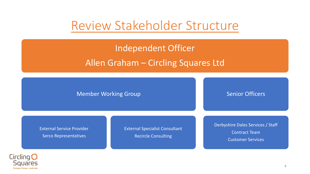#### Review Stakeholder Structure

#### Independent Officer Allen Graham – Circling Squares Ltd

Member Working Group

Senior Officers

External Service Provider Serco Representatives

External Specialist Consultant Recircle Consulting

Derbyshire Dales Services / Staff Contract Team Customer Services

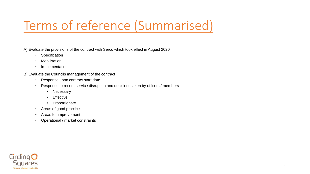### Terms of reference (Summarised)

A) Evaluate the provisions of the contract with Serco which took effect in August 2020

- Specification
- Mobilisation
- Implementation

B) Evaluate the Councils management of the contract

- Response upon contract start date
- Response to recent service disruption and decisions taken by officers / members
	- Necessary
	- Effective
	- Proportionate
- Areas of good practice
- Areas for improvement
- Operational / market constraints

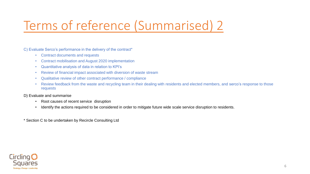### Terms of reference (Summarised) 2

C) Evaluate Serco's performance in the delivery of the contract\*

- Contract documents and requests
- Contract mobilisation and August 2020 implementation
- Quantitative analysis of data in relation to KPI's
- Review of financial impact associated with diversion of waste stream
- Qualitative review of other contract performance / compliance
- Review feedback from the waste and recycling team in their dealing with residents and elected members, and serco's response to those requests

D) Evaluate and summarise

- Root causes of recent service disruption
- Identify the actions required to be considered in order to mitigate future wide scale service disruption to residents.

\* Section C to be undertaken by Recircle Consulting Ltd

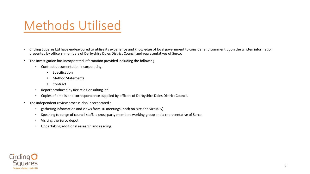#### Methods Utilised

- Circling Squares Ltd have endeavoured to utilise its experience and knowledge of local government to consider and comment upon the written information presented by officers, members of Derbyshire Dales District Council and representatives of Serco.
- The investigation has incorporated information provided including the following:
	- Contract documentation incorporating:
		- Specification
		- Method Statements
		- Contract
	- Report produced by Recircle Consulting Ltd
	- Copies of emails and correspondence supplied by officers of Derbyshire Dales District Council.
- The independent review process also incorporated :
	- gathering information and views from 10 meetings (both on-site and virtually)
	- Speaking to range of council staff, a cross party members working group and a representative of Serco.
	- Visiting the Serco depot
	- Undertaking additional research and reading.

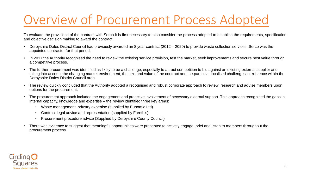### Overview of Procurement Process Adopted

To evaluate the provisions of the contract with Serco it is first necessary to also consider the process adopted to establish the requirements, specification and objective decision making to award the contract.

- Derbyshire Dales District Council had previously awarded an 8 year contract (2012 2020) to provide waste collection services. Serco was the appointed contractor for that period.
- In 2017 the Authority recognised the need to review the existing service provision, test the market, seek improvements and secure best value through a competitive process.
- The further procurement was identified as likely to be a challenge, especially to attract competition to bid against an existing external supplier and taking into account the changing market environment, the size and value of the contract and the particular localised challenges in existence within the Derbyshire Dales District Council area.
- The review quickly concluded that the Authority adopted a recognised and robust corporate approach to review, research and advise members upon options for the procurement.
- The procurement approach included the engagement and proactive involvement of necessary external support. This approach recognised the gaps in internal capacity, knowledge and expertise – the review identified three key areas:
	- Waste management Industry expertise (supplied by Eunomia Ltd)
	- Contract legal advice and representation (supplied by Freeth's)
	- Procurement procedure advice (Supplied by Derbyshire County Council)
- There was evidence to suggest that meaningful opportunities were presented to actively engage, brief and listen to members throughout the procurement process.

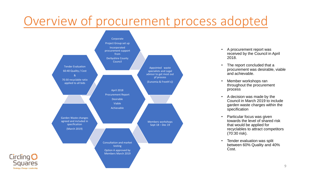### Overview of procurement process adopted



Circling<sup>O</sup>

**Squares** Strategy · Change · Leadership

- A procurement report was received by the Council in April 2018.
- The report concluded that a procurement was desirable, viable and achievable.
- Member workshops ran throughout the procurement process
- A decision was made by the Council in March 2019 to include garden waste charges within the specification
- Particular focus was given towards the level of shared risk that would be applied for recyclables to attract competitors (70:30 risk).
- Tender evaluation was split between 60% Quality and 40% Cost.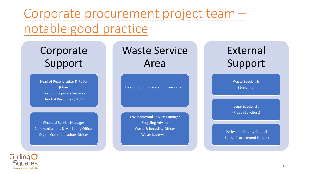Corporate procurement project team – notable good practice

Corporate Support

Head of Regeneration & Policy (Chair) Head of Corporate Services Head of Resources (S151)

Financial Service Manager Communications & Marketing Officer Digital Communications Officer

Waste Service Area

Head of Community and Environment

Environmental Service Manager Recycling Advisor Waste & Recycling Officer Waste Supervisor

#### External Support

Waste Specialists (Eunomia)

Legal Specialists (Freeth Solicitors)

Derbyshire County Council (Senior Procurement Officer)

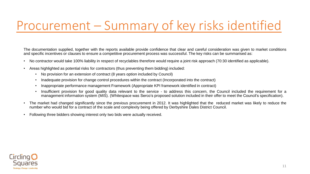#### Procurement – Summary of key risks identified

The documentation supplied, together with the reports available provide confidence that clear and careful consideration was given to market conditions and specific incentives or clauses to ensure a competitive procurement process was successful. The key risks can be summarised as:

- No contractor would take 100% liability in respect of recyclables therefore would require a joint risk approach (70:30 identified as applicable).
- Areas highlighted as potential risks for contractors (thus preventing them bidding) included:
	- No provision for an extension of contract (8 years option included by Council)
	- Inadequate provision for change control procedures within the contract (Incorporated into the contract)
	- Inappropriate performance management Framework (Appropriate KPI framework identified in contract)
	- Insufficient provision for good quality data relevant to the service to address this concern, the Council included the requirement for a management information system (MIS). (Whitespace was Serco's proposed solution included in their offer to meet the Council's specification).
- The market had changed significantly since the previous procurement in 2012. It was highlighted that the reduced market was likely to reduce the number who would bid for a contract of the scale and complexity being offered by Derbyshire Dales District Council.
- Following three bidders showing interest only two bids were actually received.

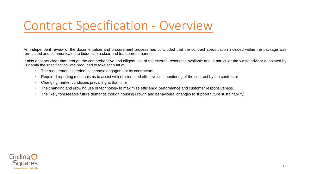#### Contract Specification - Overview

An independent review of the documentation and procurement process has concluded that the contract specification included within the package was formulated and communicated to bidders in a clear and transparent manner.

It also appears clear that through the comprehensive and diligent use of the external resources available and in particular the waste advisor appointed by Eunomia the specification was produced to take account of:

- The requirements needed to increase engagement by contractors
- Required reporting mechanisms to assist with efficient and effective self monitoring of the contract by the contractor
- Changing market conditions prevailing at that time
- The changing and growing use of technology to maximise efficiency, performance and customer responsiveness.
- The likely foreseeable future demands though housing growth and behavioural changes to support future sustainability.

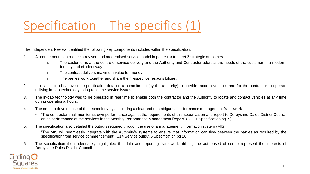### Specification – The specifics (1)

The Independent Review identified the following key components included within the specification:

- 1. A requirement to introduce a revised and modernised service model in particular to meet 3 strategic outcomes:
	- i. The customer is at the centre of service delivery and the Authority and Contractor address the needs of the customer in a modern, friendly and efficient way.
	- ii. The contract delivers maximum value for money
	- iii. The parties work together and share their respective responsibilities.
- 2. In relation to (1) above the specification detailed a commitment (by the authority) to provide modern vehicles and for the contractor to operate utilising in-cab technology to log real time service issues.
- 3. The in-cab technology was to be operated in real time to enable both the contractor and the Authority to locate and contact vehicles at any time during operational hours.
- 4. The need to develop use of the technology by stipulating a clear and unambiguous performance management framework.
	- "The contractor shall monitor its own performance against the requirements of this specification and report to Derbyshire Dales District Council on its performance of the services in the Monthly Performance Management Report" (S12.1 Specification pg19).
- 5. The specification also detailed the outputs required through the use of a management information system (MIS)
	- "The MIS will seamlessly integrate with the Authority's systems to ensure that information can flow between the parties as required by the specification from service commencement" (S14 Service output 5 Specification pg 20)
- 6. The specification then adequately highlighted the data and reporting framework utilising the authorised officer to represent the interests of Derbyshire Dales District Council.

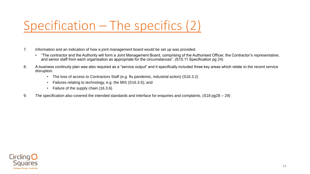### Specification – The specifics (2)

- 7. Information and an indication of how a joint management board would be set up was provided.
	- "The contractor and the Authority will form a Joint Management Board, comprising of the Authorised Officer, the Contractor's representative, and senior staff from each organisation as appropriate for the circumstances". (S15.11 Specification pg 24)
- 8. A business continuity plan was also required as a "service output" and it specifically included three key areas which relate to the recent service disruption.
	- The loss of access to Contractors Staff (e.g. flu pandemic, industrial action) (S16.3.2)
	- Failures relating to technology, e.g. the MIS (S16.3.5); and
	- Failure of the supply chain (16.3.6)
- 9. The specification also covered the intended standards and interface for enquiries and complaints. (S18 pg28 29)

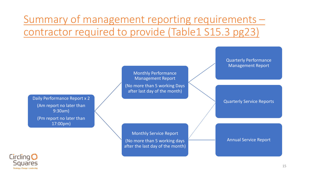#### Summary of management reporting requirements – contractor required to provide (Table1 S15.3 pg23)



15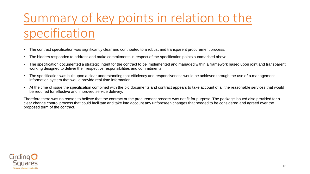## Summary of key points in relation to the specification

- The contract specification was significantly clear and contributed to a robust and transparent procurement process.
- The bidders responded to address and make commitments in respect of the specification points summarised above.
- The specification documented a strategic intent for the contract to be implemented and managed within a framework based upon joint and transparent working designed to deliver their respective responsibilities and commitments.
- The specification was built upon a clear understanding that efficiency and responsiveness would be achieved through the use of a management information system that would provide real time information.
- At the time of issue the specification combined with the bid documents and contract appears to take account of all the reasonable services that would be required for effective and improved service delivery.

Therefore there was no reason to believe that the contract or the procurement process was not fit for purpose. The package issued also provided for a clear change control process that could facilitate and take into account any unforeseen changes that needed to be considered and agreed over the proposed term of the contract.

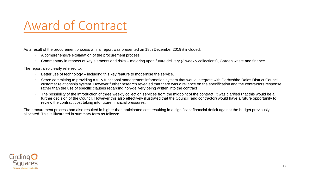#### Award of Contract

As a result of the procurement process a final report was presented on 18th December 2019 it included:

- A comprehensive explanation of the procurement process
- Commentary in respect of key elements and risks majoring upon future delivery (3 weekly collections), Garden waste and finance

The report also clearly referred to:

- Better use of technology including this key feature to modernise the service.
- Serco committing to providing a fully functional management information system that would integrate with Derbyshire Dales District Council customer relationship system. However further research revealed that there was a reliance on the specification and the contractors response rather than the use of specific clauses regarding non-delivery being written into the contract
- The possibility of the introduction of three weekly collection services from the midpoint of the contract. It was clarified that this would be a further decision of the Council. However this also effectively illustrated that the Council (and contractor) would have a future opportunity to review the contract cost taking into future financial pressures.

The procurement process had also resulted in higher than anticipated cost resulting in a significant financial deficit against the budget previously allocated. This is illustrated in summary form as follows:

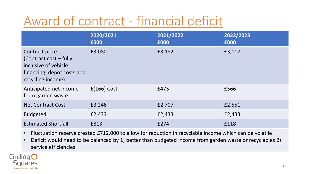### Award of contract - financial deficit

|                                                                                                                     | 2020/2021<br>£000 | 2021/2022<br>£000 | 2022/2023<br>£000 |
|---------------------------------------------------------------------------------------------------------------------|-------------------|-------------------|-------------------|
| Contract price<br>(Contract cost – fully<br>inclusive of vehicle<br>financing, depot costs and<br>recycling income) | £3,080            | £3,182            | £3,117            |
| Anticipated net income<br>from garden waste                                                                         | $f(166)$ Cost     | £475              | £566              |
| <b>Net Contract Cost</b>                                                                                            | £3,246            | £2,707            | £2,551            |
| <b>Budgeted</b>                                                                                                     | £2,433            | £2,433            | £2,433            |
| <b>Estimated Shortfall</b>                                                                                          | £813              | £274              | £118              |

- Fluctuation reserve created £712,000 to allow for reduction in recyclable income which can be volatile
- Deficit would need to be balanced by 1) better than budgeted income from garden waste or recyclables 2) service efficiencies.

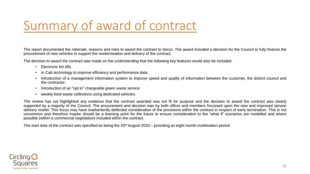### Summary of award of contract

The report documented the rationale, reasons and risks to award the contract to Serco. The award included a decision for the Council to fully finance the procurement of new vehicles to support the modernisation and delivery of the contract.

The decision to award the contract was made on the understanding that the following key features would also be included:

- Electronic bin lifts
- In Cab technology to improve efficiency and performance data
- Introduction of a management information system to improve speed and quality of information between the customer, the district council and the contractor.
- Introduction of an "opt in" chargeable green waste service
- weekly food waste collections using dedicated vehicles.

The review has not highlighted any evidence that the contract awarded was not fit for purpose and the decision to award the contract was clearly supported by a majority of the Council. The procurement and decision was by both officer and members focussed upon the new and improved service delivery model. This focus may have inadvertently deflected consideration of the provisions within the contract in respect of early termination. This is not uncommon and therefore maybe should be a learning point for the future to ensure consideration to the "what if" scenarios are modelled and where possible (within a commercial negotiation) included within the contract.

The start date of the contract was specified as being the  $20<sup>th</sup>$  August 2020 – providing an eight month mobilisation period.

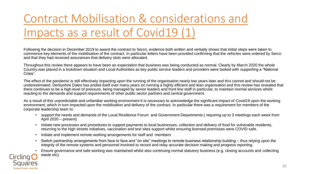#### Contract Mobilisation & considerations and Impacts as a result of Covid19 (1)

Following the decision in December 2019 to award the contract to Serco, evidence both written and verbally shows that initial steps were taken to commence key elements of the mobilisation of the contract. In particular letters have been provided confirming that the vehicles were ordered by Serco and that they had received assurances that delivery slots were allocated.

Throughout this review there appears to have been an expectation that business was being conducted as normal. Clearly by March 2020 the whole Country was placed in a lockdown situation and Local Authorities as key public service leaders and providers were tasked with supporting a "National Crisis".

The effect of the pandemic is still effectively impacting upon the running of the organisation nearly two years later and this cannot and should not be underestimated. Derbyshire Dales has prided itself over many years on running a highly efficient and lean organisation and this review has revealed that there continues to be a high level of pressure, being managed by senior leaders and front line staff in particular, to maintain normal services whilst reacting to the demands and support requirements of other public sector partners and central government.

As a result of this unpredictable and unfamiliar working environment it is necessary to acknowledge the significant impact of Covid19 upon the working environment, which in turn impacted upon the mobilisation and delivery of the contract. In particular there was a requirement for members of the corporate leadership team to:

- support the needs and demands of the Local Resilience Forum and Government Departments ( requiring up to 3 meetings each week from April 2020 – present)
- initiate new processes and procedures to support payments to local businesses, collection and delivery of food for vulnerable residents, returning to the high streets initiatives, vaccination and test sites support whilst ensuring licensed premisses were COVID safe.
- Initiate and implement remote working arrangements for staff and members
- Switch partnership arrangements from face to face and "on site" meetings to remote business relationship building thus relying upon the integrity of the remote systems and personnel involved to record and relay accurate decision making and progress reporting
- Ensure governance and safe working was maintained whilst also continuing normal statutory business (e.g. closing accounts and collecting waste etc).

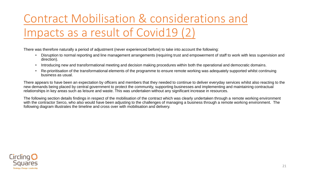Contract Mobilisation & considerations and Impacts as a result of Covid19 (2)

There was therefore naturally a period of adjustment (never experienced before) to take into account the following:

- Disruption to normal reporting and line management arrangements (requiring trust and empowerment of staff to work with less supervision and direction).
- Introducing new and transformational meeting and decision making procedures within both the operational and democratic domains.
- Re-prioritisation of the transformational elements of the programme to ensure remote working was adequately supported whilst continuing business as usual.

There appears to have been an expectation by officers and members that they needed to continue to deliver everyday services whilst also reacting to the new demands being placed by central government to protect the community, supporting businesses and implementing and maintaining contractual relationships in key areas such as leisure and waste. This was undertaken without any significant increase in resources.

The following section details findings in respect of the mobilisation of the contract which was clearly undertaken through a remote working environment with the contractor Serco, who also would have been adjusting to the challenges of managing a business through a remote working environment. The following diagram illustrates the timeline and cross over with mobilisation and delivery.

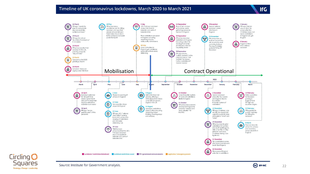#### Timeline of UK coronavirus lockdowns, March 2020 to March 2021







**IfG**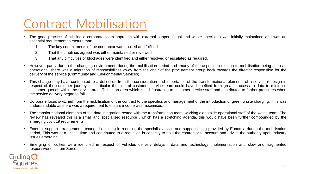#### Contract Mobilisation

- The good practice of utilising a corporate team approach with external support (legal and waste specialist) was initially maintained and was an essential requirement to ensure that:
	- 1. The key commitments of the contractor was tracked and fulfilled
	- 2. That the timelines agreed was either maintained or reviewed
	- 3. That any difficulties or blockages were identified and either resolved or escalated as required.
- However, partly due to the changing environment, during the mobilisation period and many of the aspects in relation to mobilisation being seen as operational, there was a migration of responsibilities away from the chair of the procurement group back towards the director responsible for the delivery of the service (Community and Environmental Services)
- This change may have contributed to a deflection from the consideration and importance of the transformational elements of a service redesign in respect of the customer journey. In particular the central customer service team could have benefited from greater access to data to minimise customer queries within the service area. This is an area which is still frustrating to customer service staff and contributed to further pressures when the service delivery began to fail.
- Corporate focus switched from the mobilisation of the contract to the specifics and management of the introduction of green waste charging. This was understandable as there was a requirement to ensure income was maximised.
- The transformational elements of the data integration rested with the transformation team, working along side operational staff of the waste team. The review has revealed this is a small and specialised resource , which has a stretching agenda, this would have been further compounded by the emerging covid19 requirements.
- External support arrangements changed resulting in reducing the specialist advice and support being provided by Eunomia during the mobilisation period, This was at a critical time and contributed to a reduction in capacity to hold the contractor to account and advise the authority upon industry issues emerging.
- Emerging difficulties were identified in respect of vehicles delivery delays , data and technology implementation and slow and fragmented responsiveness from Serco.

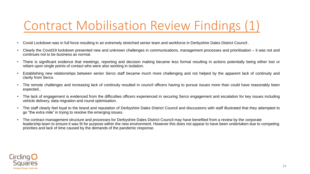#### Contract Mobilisation Review Findings (1)

- Covid Lockdown was in full force resulting in an extremely stretched senior team and workforce in Derbyshire Dales District Council .
- Clearly the Covid19 lockdown presented new and unknown challenges in communications, management processes and prioritisation it was not and continues not to be business as normal.
- There is significant evidence that meetings, reporting and decision making became less formal resulting in actions potentially being either lost or reliant upon single points of contact who were also working in isolation.
- Establishing new relationships between senior Serco staff became much more challenging and not helped by the apparent lack of continuity and clarity from Serco.
- The remote challenges and increasing lack of continuity resulted in council officers having to pursue issues more than could have reasonably been expected..
- The lack of engagement is evidenced from the difficulties officers experienced in securing Serco engagement and escalation for key issues including vehicle delivery, data migration and round optimisation.
- The staff clearly feel loyal to the brand and reputation of Derbyshire Dales District Council and discussions with staff illustrated that they attempted to go "the extra mile" in trying to resolve the emerging issues.
- The contract management structure and processes for Derbyshire Dales District Council may have benefited from a review by the corporate leadership team to ensure it was fit for purpose within the new environment. However this does not appear to have been undertaken due to competing priorities and lack of time caused by the demands of the pandemic response.

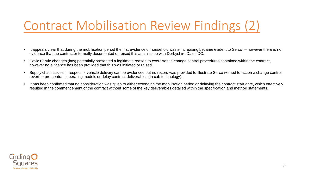#### Contract Mobilisation Review Findings (2)

- It appears clear that during the mobilisation period the first evidence of household waste increasing became evident to Serco. however there is no evidence that the contractor formally documented or raised this as an issue with Derbyshire Dales DC.
- Covid19 rule changes (law) potentially presented a legitimate reason to exercise the change control procedures contained within the contract, however no evidence has been provided that this was initiated or raised.
- Supply chain issues in respect of vehicle delivery can be evidenced but no record was provided to illustrate Serco wished to action a change control, revert to pre-contract operating models or delay contract deliverables (In cab technology).
- It has been confirmed that no consideration was given to either extending the mobilisation period or delaying the contract start date, which effectively resulted in the commencement of the contract without some of the key deliverables detailed within the specification and method statements.

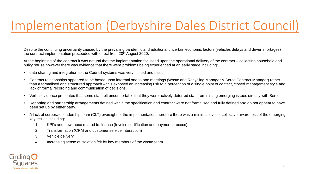#### Implementation (Derbyshire Dales District Council)

Despite the continuing uncertainty caused by the prevailing pandemic and additional uncertain economic factors (vehicles delays and driver shortages) the contract implementation proceeded with effect from 20<sup>th</sup> August 2020.

At the beginning of the contract it was natural that the implementation focussed upon the operational delivery of the contract – collecting household and bulky refuse however there was evidence that there were problems being experienced at an early stage including:

- data sharing and integration to the Council systems was very limited and basic.
- Contract relationships appeared to be based upon informal one to one meetings (Waste and Recycling Manager & Serco Contract Manager) rather than a formalised and structured approach – this exposed an increasing risk to a perception of a single point of contact, closed management style and lack of formal recording and communication of decisions.
- Verbal evidence presented that some staff felt uncomfortable that they were actively deterred staff from raising emerging issues directly with Serco.
- Reporting and partnership arrangements defined within the specification and contract were not formalised and fully defined and do not appear to have been set up by either party.
- A lack of corporate leadership team (CLT) oversight of the implementation therefore there was a minimal level of collective awareness of the emerging key issues including:
	- 1. KPI's and how these related to finance (Invoice certification and payment process).
	- 2. Transformation (CRM and customer service interaction)
	- 3. Vehicle delivery
	- 4. Increasing sense of isolation felt by key members of the waste team

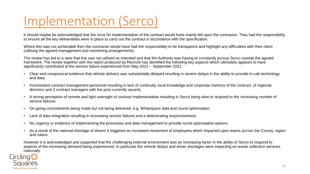### Implementation (Serco)

It should maybe be acknowledged that the onus for implementation of the contract would have mainly fell upon the contractor. They had the responsibility to ensure all the key deliverables were in place to carry out the contract in accordance with the specification.

Where this was not achievable then the contractor would have had the responsibility to be transparent and highlight any difficulties with their client (utilising the agreed management and monitoring arrangements).

The review has led to a view that this was not utilised as intended and that the Authority was having to constantly pursue Serco outside the agreed framework. The review together with the report produced by Recircle has identified the following key aspects which ultimately appears to have significantly contributed to the service failure experienced from May 2021 – September 2021.

- Clear and unequivocal evidence that vehicle delivery was substantially delayed resulting in severe delays in the ability to provide in-cab technology and data.
- Inconsistent contract management personnel resulting in lack of continuity, local knowledge and corporate memory of the contract. (4 regional directors and 3 contract managers with the post currently vacant).
- A strong perception of remote and light oversight of contract implementation resulting in Serco being slow to respond to the increasing number of service failures.
- On-going commitments being made but not being delivered. e.g. Whitespace data and round optimisation.
- Lack of data integration resulting in increasing service failures and a deteriorating responsiveness.
- No urgency or evidence of implementing the processes and data management to provide round optimisation options.
- As a result of the national shortage of drivers it triggered an increased movement of employees which impacted upon teams across the County, region and nation.

However it is acknowledged and supported that the challenging external environment was an increasing factor in the ability of Serco to respond to aspects of the increasing demand being experienced. In particular the vehicle delays and driver shortages were impacting on waste collection services nationally.

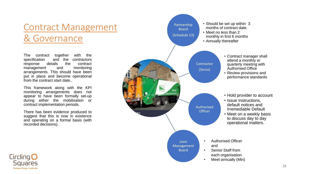#### Contract Management & Governance

The contract together with the specification and the contractors response details the contract management and monitoring arrangements. This should have been put in place and become operational from the contract start date..

This framework along with the KPI monitoring arrangements does not appear to have been formally set-up during either the mobilisation or contract implementation periods.

There has been evidence produced to suggest that this is now in existence and operating on a formal basis (with recorded decisions).



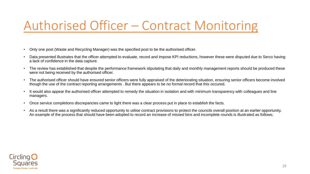#### Authorised Officer – Contract Monitoring

- Only one post (Waste and Recycling Manager) was the specified post to be the authorised officer.
- Data presented illustrates that the officer attempted to evaluate, record and impose KPI reductions, however these were disputed due to Serco having a lack of confidence in the data capture.
- The review has established that despite the performance framework stipulating that daily and monthly management reports should be produced these were not being received by the authorised officer.
- The authorised officer should have ensured senior officers were fully appraised of the deteriorating situation, ensuring senior officers become involved though the use of the contract reporting arrangements . But there appears to be no formal record that this occured.
- It would also appear the authorised officer attempted to remedy the situation in isolation and with minimum transparency with colleagues and line managers.
- Once service completions discrepancies came to light there was a clear process put in place to establish the facts.
- As a result there was a significantly reduced opportunity to utilise contract provisions to protect the councils overall position at an earlier opportunity. An example of the process that should have been adopted to record an increase of missed bins and incomplete rounds is illustrated as follows;

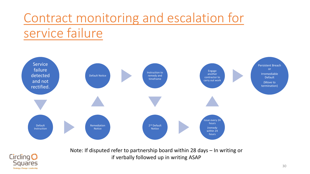### Contract monitoring and escalation for service failure



Note: If disputed refer to partnership board within 28 days – In writing or if verbally followed up in writing ASAP

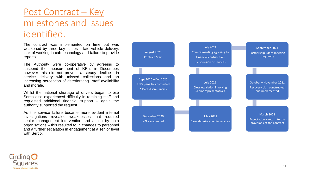#### Post Contract – Key milestones and issues identified.

The contract was implemented on time but was weakened by three key issues – late vehicle delivery, lack of working in cab technology and failure to provide reports.

The Authority were co-operative by agreeing to suspend the measurement of KPI's in December, however this did not prevent a steady decline in service delivery with missed collections and an increasing perception of deteriorating staff availability and morale.

Whilst the national shortage of drivers began to bite Serco also experienced difficulty in retaining staff and requested additional financial support – again the authority supported the request

As the service failure became more evident internal investigations revealed weaknesses that required senior management intervention and action by both organisations – this resulted to in changes to personnel and a further escalation in engagement at a senior level with Serco.



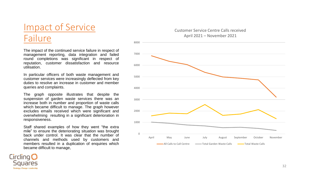#### Impact of Service Failure

The impact of the continued service failure in respect of management reporting, data integration and failed round completions was significant in respect of reputation, customer dissatisfaction and resource utilisation.

In particular officers of both waste management and customer services were increasingly deflected from key duties to resolve an increase in customer and member queries and complaints.

The graph opposite illustrates that despite the suspension of garden waste services there was an increase both in number and proportion of waste calls which became difficult to manage. The graph however excludes emails received which were significant and overwhelming resulting in a significant deterioration in responsiveness.

Staff shared examples of how they went "the extra mile" to ensure the deteriorating situation was brought back under control. It was clear that the number of channels and methods used by customers and members resulted in a duplication of enquiries which became difficult to manage,





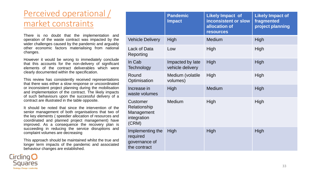#### Perceived operational / market constraints

There is no doubt that the implementation and operation of the waste contract was impacted by the wider challenges caused by the pandemic and arguably other economic factors materialising from national changes.

However it would be wrong to immediately conclude that this accounts for the non-delivery of significant elements of the contract deliverables which were clearly documented within the specification.

This review has consistently received representations that there was either a slow response or uncoordinated or inconsistent project planning during the mobilisation and implementation of the contract. The likely impacts of such behaviours upon the successful delivery of a contract are illustrated in the table opposite.

It should be noted that since the intervention of the senior management of both organisations that two of the key elements ( speedier allocation of resources and coordinated and planned project management) have improved. As a consequence the recovery plan is succeeding in reducing the service disruptions and complaint volumes are decreasing

This approach should be maintained whilst the true and longer term impacts of the pandemic and associated behaviour changes are established.



|                                                                       | <b>Pandemic</b><br><b>Impact</b>     | <b>Likely Impact of</b><br>inconsistent or slow<br>allocation of<br><b>resources</b> | <b>Likely Impact of</b><br>fragmented<br>project planning |
|-----------------------------------------------------------------------|--------------------------------------|--------------------------------------------------------------------------------------|-----------------------------------------------------------|
| <b>Vehicle Delivery</b>                                               | High                                 | Medium                                                                               | High                                                      |
| <b>Lack of Data</b><br>Reporting                                      | Low                                  | High                                                                                 | High                                                      |
| In Cab<br><b>Technology</b>                                           | Impacted by late<br>vehicle delivery | High                                                                                 | High                                                      |
| Round<br>Optimisation                                                 | Medium (volatile<br>volumes)         | High                                                                                 | High                                                      |
| Increase in<br>waste volumes                                          | High                                 | Medium                                                                               | High                                                      |
| <b>Customer</b><br>Relationship<br>Management<br>integration<br>(CRM) | Medium                               | High                                                                                 | High                                                      |
| Implementing the<br>required<br>governance of<br>the contract         | High                                 | <b>High</b>                                                                          | High                                                      |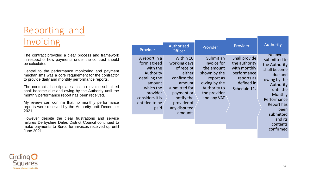#### Reporting and Invoicing

The contract provided a clear process and framework in respect of how payments under the contract should be calculated.

Central to the performance monitoring and payment mechanisms was a core requirement for the contractor to provide daily and monthly performance reports.

The contract also stipulates that no invoice submitted shall become due and owing by the Authority until the monthly performance report has been received.

My review can confirm that no monthly performance reports were received by the Authority until December 2021.

However despite the clear frustrations and service failures Derbyshire Dales District Council continued to make payments to Serco for invoices received up until June 2021.

| Provider                                                                                                                                               | Authorised<br><b>Officer</b>                                                                                                                                      | Provider                                                                                                                           | Provider                                                                                                  | Authority                                                                                                                                                                            |
|--------------------------------------------------------------------------------------------------------------------------------------------------------|-------------------------------------------------------------------------------------------------------------------------------------------------------------------|------------------------------------------------------------------------------------------------------------------------------------|-----------------------------------------------------------------------------------------------------------|--------------------------------------------------------------------------------------------------------------------------------------------------------------------------------------|
| A report in a<br>form agreed<br>with the<br>Authority<br>detailing the<br>amount<br>which the<br>provider<br>considers it is<br>entitled to be<br>paid | Within 10<br>working days<br>of receipt<br>either<br>confirm the<br>amount<br>submitted for<br>payment or<br>notify the<br>provider of<br>any disputed<br>amounts | Submit an<br>invoice for<br>the amount<br>shown by the<br>report as<br>owing by the<br>Authority to<br>the provider<br>and any VAT | Shall provide<br>the authority<br>with monthly<br>performance<br>reports as<br>defined in<br>Schedule 11. | <b>NO INVOICE</b><br>submitted to<br>the Authority<br>shall become<br>due and<br>owing by the<br>Authority<br>until the<br>Monthly<br>Performance<br>Report has<br>been<br>submitted |
|                                                                                                                                                        |                                                                                                                                                                   |                                                                                                                                    |                                                                                                           |                                                                                                                                                                                      |



and its contents confirmed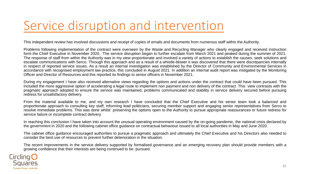#### Service disruption and intervention

This independent review has involved discussions and receipt of copies of emails and documents from numerous staff within the Authority.

Problems following implementation of the contract were overseen by the Waste and Recycling Manager who clearly engaged and received instruction form the Chief Executive in November 2020. The service disruption began to further escalate from March 2021 and peaked during the summer of 2021. The response of staff from within the Authority was in my view proportionate and involved a variety of actions to establish the causes, seek solutions and escalate communications with Serco. Through this approach and as a result of a whistle-blower it was discovered that there were discrepancies internally in respect of reported service issues. As a result an internal investigation was established by the Director of Community and Environmental Services in accordance with recognised employment law practice, this concluded in August 2021. In addition an internal audit report was instigated by the Monitoring Officer and Director of Resources and this reported its findings to senior officers in November 2021.

During my engagement I have also received alternative views regarding the options and actions under the contract that could have been pursued. This included the more aggressive option of accelerating a legal route to implement non payment and non delivery of the contract. This view contrasts with the pragmatic approach adopted to ensure the service was maintained, problems communicated and stability in service delivery secured before pursuing redress for unsatisfactory delivery.

From the material available to me, and my own research I have concluded that the Chief Executive and his senior team took a balanced and proportionate approach to consulting key staff, informing lead politicians, securing member support and engaging senior representatives from Serco to resolve immediate problems. This was done whilst preserving the options open to the Authority to pursue appropriate reassurances or future redress for service failure or incomplete contract delivery.

In reaching this conclusion I have taken into account the unusual operating environment caused by the on-going pandemic, the national crisis declared by the government in 2020 and the following cabinet office guidance on contractual behaviour issued to all local authorities in May and June 2020.

The cabinet office guidance encouraged authorities to pursue a pragmatic approach and ultimately the Chief Executive and his Directors also needed to consider the best use of resources to prevent further deterioration in the situation.

The recent improvements in the service delivery supported by formalised governance and an emerging recovery plan should provide members with a growing confidence that their interests are being continued to be pursued.

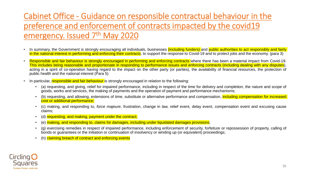#### Cabinet Office - Guidance on responsible contractual behaviour in the preference and enforcement of contracts impacted by the covid19 emergency. Issued 7<sup>th</sup> May 2020

- In summary, the Government is strongly encouraging all individuals, businesses (including funders) and public authorities to act responsibly and fairly in the national interest in performing and enforcing their contracts, to support the response to Covid-19 and to protect jobs and the economy. (para 3)
- Responsible and fair behaviour is strongly encouraged in performing and enforcing contracts where there has been a material impact from Covid-19. This includes being reasonable and proportionate in responding to performance issues and enforcing contracts (including dealing with any disputes), acting in a spirit of co-operation having regard to the impact on the other party (or parties), the availability of financial resources, the protection of public health and the national interest (Para 5)
- In particular, responsible and fair behaviour is strongly encouraged in relation to the following:
	- (a) requesting, and giving, relief for impaired performance, including in respect of the time for delivery and completion, the nature and scope of goods, works and services, the making of payments and the operation of payment and performance mechanisms;
	- (b) requesting, and allowing, extensions of time, substitute or alternative performance and compensation, including compensation for increased cost or additional performance;
	- (c) making, and responding to, *force majeure*, frustration, change in law, relief event, delay event, compensation event and excusing cause claims;
	- (d) requesting, and making, payment under the contract;
	- (e) making, and responding to, claims for damages, including under liquidated damages provisions;
	- (g) exercising remedies in respect of impaired performance, including enforcement of security, forfeiture or repossession of property, calling of bonds or guarantees or the initiation or continuation of insolvency or winding up (or equivalent) proceedings;
	- (h) claiming breach of contract and enforcing events

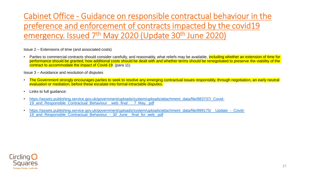#### Cabinet Office - Guidance on responsible contractual behaviour in the preference and enforcement of contracts impacted by the covid19 emergency. Issued 7<sup>th</sup> May 2020 (Update 30<sup>th</sup> June 2020)

Issue 2 – Extensions of time (and associated costs)

Parties to commercial contracts should consider carefully, and reasonably, what reliefs may be available, including whether an extension of time for performance should be granted, how additional costs should be dealt with and whether terms should be renegotiated to preserve the viability of the contract to accommodate the impact of Covid-19. (para 11)

Issue 3 – Avoidance and resolution of disputes

- The Government strongly encourages parties to seek to resolve any emerging contractual issues responsibly, through negotiation, an early neutral evaluation or mediation, before these escalate into formal intractable disputes.
- Links to full guidance:
- [https://assets.publishing.service.gov.uk/government/uploads/system/uploads/attachment\\_data/file/883737/\\_Covid-](https://assets.publishing.service.gov.uk/government/uploads/system/uploads/attachment_data/file/883737/_Covid-19_and_Responsible_Contractual_Behaviour__web_final___7_May_.pdf)19 and Responsible Contractual Behaviour web final 7 May .pdf
- [https://assets.publishing.service.gov.uk/government/uploads/system/uploads/attachment\\_data/file/899175/\\_\\_Update\\_-\\_Covid-](https://assets.publishing.service.gov.uk/government/uploads/system/uploads/attachment_data/file/899175/__Update_-_Covid-19_and_Responsible_Contractual_Behaviour_-_30_June__final_for_web_.pdf)19 and Responsible Contractual Behaviour - 30 June final for web .pdf

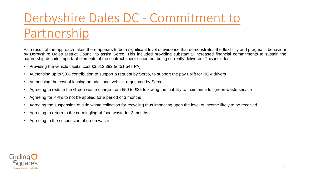## Derbyshire Dales DC - Commitment to Partnership

As a result of the approach taken there appears to be a significant level of evidence that demonstrates the flexibility and pragmatic behaviour by Derbyshire Dales District Council to assist Serco. This included providing substantial increased financial commitments to sustain the partnership despite important elements of the contract specification not being currently delivered. This includes:

- Providing the vehicle capital cost £3,612,382 (£451,548 PA)
- Authorising up to 50% contribution to support a request by Serco, to support the pay uplift for HGV drivers
- Authorising the cost of leasing an additional vehicle requested by Serco
- Agreeing to reduce the Green waste charge from £50 to £35 following the inability to maintain a full green waste service
- Agreeing for KPI's to not be applied for a period of 3 months
- Agreeing the suspension of side waste collection for recycling thus impacting upon the level of income likely to be received.
- Agreeing to return to the co-mingling of food waste for 3 months
- Agreeing to the suspension of green waste

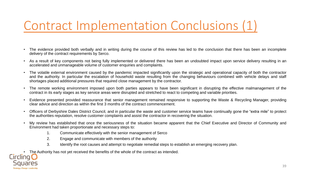### Contract Implementation Conclusions (1)

- The evidence provided both verbally and in writing during the course of this review has led to the conclusion that there has been an incomplete delivery of the contract requirements by Serco.
- As a result of key components not being fully implemented or delivered there has been an undoubted impact upon service delivery resulting in an accelerated and unmanageable volume of customer enquiries and complaints.
- The volatile external environment caused by the pandemic impacted significantly upon the strategic and operational capacity of both the contractor and the authority. In particular the escalation of household waste resulting from the changing behaviours combined with vehicle delays and staff shortages placed additional pressures that required close management by the contractor.
- The remote working environment imposed upon both parties appears to have been significant in disrupting the effective malmanagement of the contract in its early stages as key service areas were disrupted and stretched to react to competing and variable priorities.
- Evidence presented provided reassurance that senior management remained responsive to supporting the Waste & Recycling Manager, providing clear advice and direction as within the first 3 months of the contract commencement.
- Officers of Derbyshire Dales District Council, and in particular the waste and customer service teams have continually gone the "extra mile" to protect the authorities reputation, resolve customer complaints and assist the contractor in recovering the situation.
- My review has established that once the seriousness of the situation became apparent that the Chief Executive and Director of Community and Environment had taken proportionate and necessary steps to:
	- 1. Communicate effectively with the senior management of Serco
	- 2. Engage and communicate with members of the authority
	- 3. Identify the root causes and attempt to negotiate remedial steps to establish an emerging recovery plan.

• The Authority has not yet received the benefits of the whole of the contract as intended.

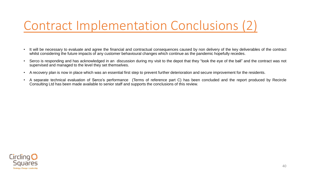### Contract Implementation Conclusions (2)

- It will be necessary to evaluate and agree the financial and contractual consequences caused by non delivery of the key deliverables of the contract whilst considering the future impacts of any customer behavioural changes which continue as the pandemic hopefully recedes.
- Serco is responding and has acknowledged in an discussion during my visit to the depot that they "took the eye of the ball" and the contract was not supervised and managed to the level they set themselves.
- A recovery plan is now in place which was an essential first step to prevent further deterioration and secure improvement for the residents.
- A separate technical evaluation of Serco's performance (Terms of reference part C) has been concluded and the report produced by Recircle Consulting Ltd has been made available to senior staff and supports the conclusions of this review.

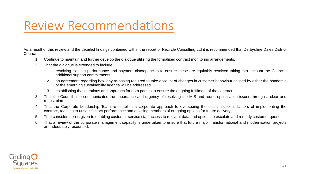#### Review Recommendations

As a result of this review and the detailed findings contained within the report of Recircle Consulting Ltd it is recommended that Derbyshire Dales District Council:

- 1. Continue to maintain and further develop the dialogue utilising the formalised contract monitoring arrangements.
- 2. That the dialogue is extended to include:
	- 1. resolving existing performance and payment discrepancies to ensure these are equitably resolved taking into account the Councils additional support commitments
	- 2. an agreement regarding how any re-basing required to take account of changes in customer behaviour caused by either the pandemic or the emerging sustainability agenda will be addressed.
	- 3. establishing the intentions and approach for both parties to ensure the ongoing fulfilment of the contract
- 3. That the Council also communicates the importance and urgency of resolving the MIS and round optimisation issues through a clear and robust plan
- 4. That the Corporate Leadership Team re-establish a corporate approach to overseeing the critical success factors of implementing the contract, reacting to unsatisfactory performance and advising members of on-going options for future delivery.
- 5. That consideration is given to enabling customer service staff access to relevant data and options to escalate and remedy customer queries
- 6. That a review of the corporate management capacity is undertaken to ensure that future major transformational and modernisation projects are adequately resourced.

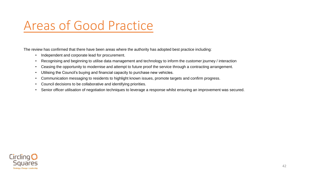#### Areas of Good Practice

The review has confirmed that there have been areas where the authority has adopted best practice including:

- Independent and corporate lead for procurement.
- Recognising and beginning to utilise data management and technology to inform the customer journey / interaction
- Ceasing the opportunity to modernise and attempt to future proof the service through a contracting arrangement.
- Utilising the Council's buying and financial capacity to purchase new vehicles.
- Communication messaging to residents to highlight known issues, promote targets and confirm progress.
- Council decisions to be collaborative and identifying priorities.
- Senior officer utilisation of negotiation techniques to leverage a response whilst ensuring an improvement was secured.

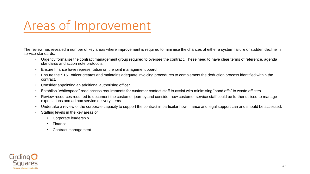#### Areas of Improvement

The review has revealed a number of key areas where improvement is required to minimise the chances of either a system failure or sudden decline in service standards:

- Urgently formalise the contract management group required to oversee the contract. These need to have clear terms of reference, agenda standards and action note protocols.
- Ensure finance have representation on the joint management board.
- Ensure the S151 officer creates and maintains adequate invoicing procedures to complement the deduction process identified within the contract.
- Consider appointing an additional authorising officer
- Establish "whitespace" read access requirements for customer contact staff to assist with minimising "hand offs" to waste officers.
- Review resources required to document the customer journey and consider how customer service staff could be further utilised to manage expectations and ad hoc service delivery items.
- Undertake a review of the corporate capacity to support the contract in particular how finance and legal support can and should be accessed.
- Staffing levels in the key areas of
	- Corporate leadership
	- **Finance**
	- Contract management